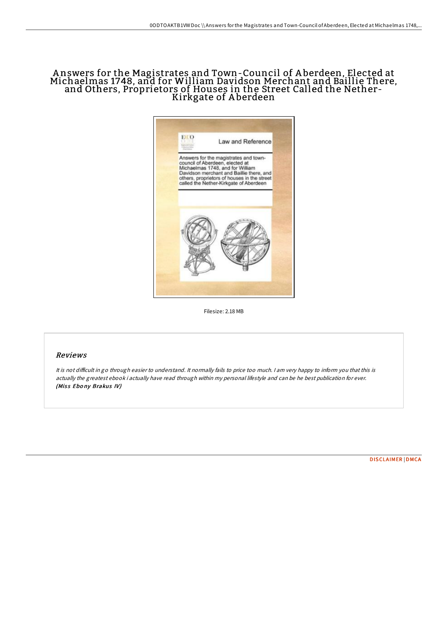# A nswers for the Magistrates and Town-Council of A berdeen, Elected at Michaelmas 1748, and for William Davidson Merchant and Baillie There, and Others, Proprietors of Houses in the Street Called the Nether-Kirkgate of A berdeen



Filesize: 2.18 MB

## Reviews

It is not difficult in go through easier to understand. It normally fails to price too much. I am very happy to inform you that this is actually the greatest ebook i actually have read through within my personal lifestyle and can be he best publication for ever. (Miss Ebony Brakus IV)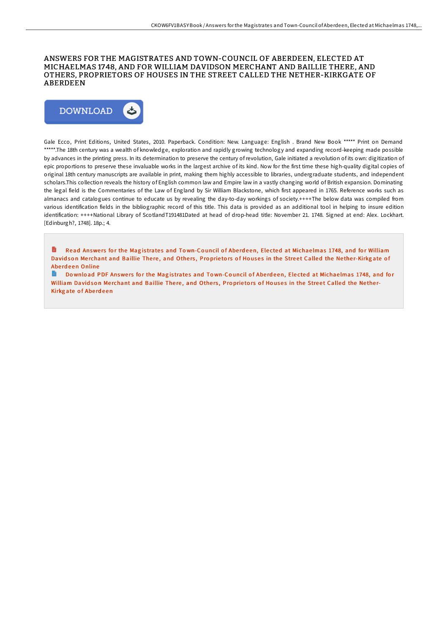### ANSWERS FOR THE MAGISTRATES AND TOWN-COUNCIL OF ABERDEEN, ELECTED AT MICHAELMAS 1748, AND FOR WILLIAM DAVIDSON MERCHANT AND BAILLIE THERE, AND OTHERS, PROPRIETORS OF HOUSES IN THE STREET CALLED THE NETHER-KIRKGATE OF ABERDEEN



Gale Ecco, Print Editions, United States, 2010. Paperback. Condition: New. Language: English . Brand New Book \*\*\*\*\* Print on Demand \*\*\*\*\*.The 18th century was a wealth of knowledge, exploration and rapidly growing technology and expanding record-keeping made possible by advances in the printing press. In its determination to preserve the century of revolution, Gale initiated a revolution of its own: digitization of epic proportions to preserve these invaluable works in the largest archive of its kind. Now for the first time these high-quality digital copies of original 18th century manuscripts are available in print, making them highly accessible to libraries, undergraduate students, and independent scholars.This collection reveals the history of English common law and Empire law in a vastly changing world of British expansion. Dominating the legal field is the Commentaries of the Law of England by Sir William Blackstone, which first appeared in 1765. Reference works such as almanacs and catalogues continue to educate us by revealing the day-to-day workings of society.++++The below data was compiled from various identification fields in the bibliographic record of this title. This data is provided as an additional tool in helping to insure edition identification: ++++National Library of ScotlandT191481Dated at head of drop-head title: November 21. 1748. Signed at end: Alex. Lockhart. [Edinburgh?, 1748]. 18p.; 4.

Read Answers for the Magistrates and Town-Council of Aberdeen, Elected at Michaelmas 1748, and for [William](http://almighty24.tech/answers-for-the-magistrates-and-town-council-of--1.html) Davidson Merchant and Baillie There, and Others, Proprietors of Houses in the Street Called the Nether-Kirkgate of Abe rd e en Online

R Download PDF Answers for the Magistrates and Town-Council of Aberdeen, Elected at Michaelmas 1748, and for [William](http://almighty24.tech/answers-for-the-magistrates-and-town-council-of--1.html) Davidson Merchant and Baillie There, and Others, Proprietors of Houses in the Street Called the Nether-Kirkg ate of Aberdeen